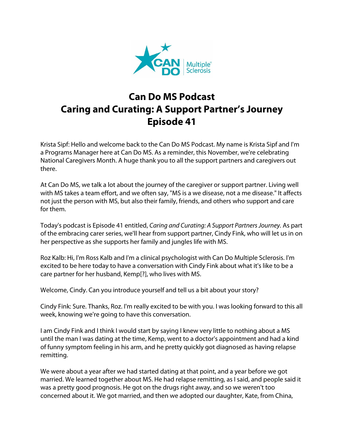

## **Can Do MS Podcast Caring and Curating: A Support Partner's Journey Episode 41**

Krista Sipf: Hello and welcome back to the Can Do MS Podcast. My name is Krista Sipf and I'm a Programs Manager here at Can Do MS. As a reminder, this November, we're celebrating National Caregivers Month. A huge thank you to all the support partners and caregivers out there.

At Can Do MS, we talk a lot about the journey of the caregiver or support partner. Living well with MS takes a team effort, and we often say, "MS is a we disease, not a me disease." It affects not just the person with MS, but also their family, friends, and others who support and care for them.

Today's podcast is Episode 41 entitled, *Caring and Curating: A Support Partners Journey.* As part of the embracing carer series, we'll hear from support partner, Cindy Fink, who will let us in on her perspective as she supports her family and jungles life with MS.

Roz Kalb: Hi, I'm Ross Kalb and I'm a clinical psychologist with Can Do Multiple Sclerosis. I'm excited to be here today to have a conversation with Cindy Fink about what it's like to be a care partner for her husband, Kemp[?], who lives with MS.

Welcome, Cindy. Can you introduce yourself and tell us a bit about your story?

Cindy Fink: Sure. Thanks, Roz. I'm really excited to be with you. I was looking forward to this all week, knowing we're going to have this conversation.

I am Cindy Fink and I think I would start by saying I knew very little to nothing about a MS until the man I was dating at the time, Kemp, went to a doctor's appointment and had a kind of funny symptom feeling in his arm, and he pretty quickly got diagnosed as having relapse remitting.

We were about a year after we had started dating at that point, and a year before we got married. We learned together about MS. He had relapse remitting, as I said, and people said it was a pretty good prognosis. He got on the drugs right away, and so we weren't too concerned about it. We got married, and then we adopted our daughter, Kate, from China,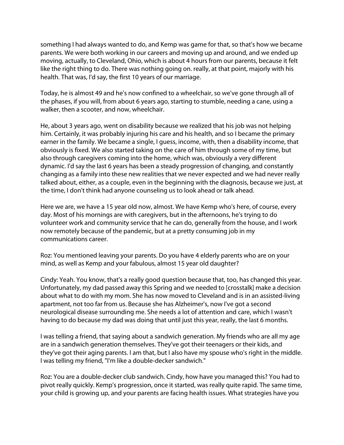something I had always wanted to do, and Kemp was game for that, so that's how we became parents. We were both working in our careers and moving up and around, and we ended up moving, actually, to Cleveland, Ohio, which is about 4 hours from our parents, because it felt like the right thing to do. There was nothing going on. really, at that point, majorly with his health. That was, I'd say, the first 10 years of our marriage.

Today, he is almost 49 and he's now confined to a wheelchair, so we've gone through all of the phases, if you will, from about 6 years ago, starting to stumble, needing a cane, using a walker, then a scooter, and now, wheelchair.

He, about 3 years ago, went on disability because we realized that his job was not helping him. Certainly, it was probably injuring his care and his health, and so I became the primary earner in the family. We became a single, I guess, income, with, then a disability income, that obviously is fixed. We also started taking on the care of him through some of my time, but also through caregivers coming into the home, which was, obviously a very different dynamic. I'd say the last 6 years has been a steady progression of changing, and constantly changing as a family into these new realities that we never expected and we had never really talked about, either, as a couple, even in the beginning with the diagnosis, because we just, at the time, I don't think had anyone counseling us to look ahead or talk ahead.

Here we are, we have a 15 year old now, almost. We have Kemp who's here, of course, every day. Most of his mornings are with caregivers, but in the afternoons, he's trying to do volunteer work and community service that he can do, generally from the house, and I work now remotely because of the pandemic, but at a pretty consuming job in my communications career.

Roz: You mentioned leaving your parents. Do you have 4 elderly parents who are on your mind, as well as Kemp and your fabulous, almost 15 year old daughter?

Cindy: Yeah. You know, that's a really good question because that, too, has changed this year. Unfortunately, my dad passed away this Spring and we needed to [crosstalk] make a decision about what to do with my mom. She has now moved to Cleveland and is in an assisted-living apartment, not too far from us. Because she has Alzheimer's, now I've got a second neurological disease surrounding me. She needs a lot of attention and care, which I wasn't having to do because my dad was doing that until just this year, really, the last 6 months.

I was telling a friend, that saying about a sandwich generation. My friends who are all my age are in a sandwich generation themselves. They've got their teenagers or their kids, and they've got their aging parents. I am that, but I also have my spouse who's right in the middle. I was telling my friend, "I'm like a double-decker sandwich."

Roz: You are a double-decker club sandwich. Cindy, how have you managed this? You had to pivot really quickly. Kemp's progression, once it started, was really quite rapid. The same time, your child is growing up, and your parents are facing health issues. What strategies have you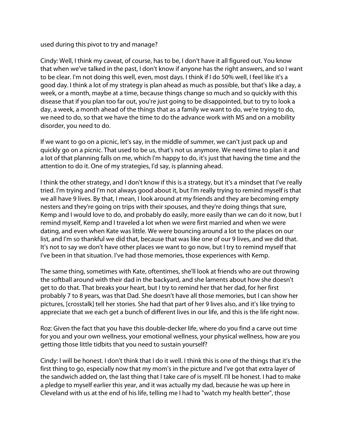used during this pivot to try and manage?

Cindy: Well, I think my caveat, of course, has to be, I don't have it all figured out. You know that when we've talked in the past, I don't know if anyone has the right answers, and so I want to be clear. I'm not doing this well, even, most days. I think if I do 50% well, I feel like it's a good day. I think a lot of my strategy is plan ahead as much as possible, but that's like a day, a week, or a month, maybe at a time, because things change so much and so quickly with this disease that if you plan too far out, you're just going to be disappointed, but to try to look a day, a week, a month ahead of the things that as a family we want to do, we're trying to do, we need to do, so that we have the time to do the advance work with MS and on a mobility disorder, you need to do.

If we want to go on a picnic, let's say, in the middle of summer, we can't just pack up and quickly go on a picnic. That used to be us, that's not us anymore. We need time to plan it and a lot of that planning falls on me, which I'm happy to do, it's just that having the time and the attention to do it. One of my strategies, I'd say, is planning ahead.

I think the other strategy, and I don't know if this is a strategy, but it's a mindset that I've really tried. I'm trying and I'm not always good about it, but I'm really trying to remind myself is that we all have 9 lives. By that, I mean, I look around at my friends and they are becoming empty nesters and they're going on trips with their spouses, and they're doing things that sure, Kemp and I would love to do, and probably do easily, more easily than we can do it now, but I remind myself, Kemp and I traveled a lot when we were first married and when we were dating, and even when Kate was little. We were bouncing around a lot to the places on our list, and I'm so thankful we did that, because that was like one of our 9 lives, and we did that. It's not to say we don't have other places we want to go now, but I try to remind myself that I've been in that situation. I've had those memories, those experiences with Kemp.

The same thing, sometimes with Kate, oftentimes, she'll look at friends who are out throwing the softball around with their dad in the backyard, and she laments about how she doesn't get to do that. That breaks your heart, but I try to remind her that her dad, for her first probably 7 to 8 years, was that Dad. She doesn't have all those memories, but I can show her pictures, [crosstalk] tell her stories. She had that part of her 9 lives also, and it's like trying to appreciate that we each get a bunch of different lives in our life, and this is the life right now.

Roz: Given the fact that you have this double-decker life, where do you find a carve out time for you and your own wellness, your emotional wellness, your physical wellness, how are you getting those little tidbits that you need to sustain yourself?

Cindy: I will be honest. I don't think that I do it well. I think this is one of the things that it's the first thing to go, especially now that my mom's in the picture and I've got that extra layer of the sandwich added on, the last thing that I take care of is myself. I'll be honest. I had to make a pledge to myself earlier this year, and it was actually my dad, because he was up here in Cleveland with us at the end of his life, telling me I had to "watch my health better", those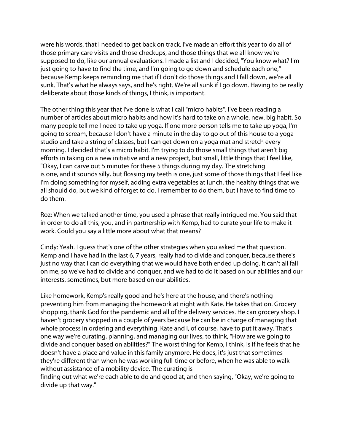were his words, that I needed to get back on track. I've made an effort this year to do all of those primary care visits and those checkups, and those things that we all know we're supposed to do, like our annual evaluations. I made a list and I decided, "You know what? I'm just going to have to find the time, and I'm going to go down and schedule each one," because Kemp keeps reminding me that if I don't do those things and I fall down, we're all sunk. That's what he always says, and he's right. We're all sunk if I go down. Having to be really deliberate about those kinds of things, I think, is important.

The other thing this year that I've done is what I call "micro habits". I've been reading a number of articles about micro habits and how it's hard to take on a whole, new, big habit. So many people tell me I need to take up yoga. If one more person tells me to take up yoga, I'm going to scream, because I don't have a minute in the day to go out of this house to a yoga studio and take a string of classes, but I can get down on a yoga mat and stretch every morning. I decided that's a micro habit. I'm trying to do those small things that aren't big efforts in taking on a new initiative and a new project, but small, little things that I feel like, "Okay, I can carve out 5 minutes for these 5 things during my day. The stretching is one, and it sounds silly, but flossing my teeth is one, just some of those things that I feel like I'm doing something for myself, adding extra vegetables at lunch, the healthy things that we all should do, but we kind of forget to do. I remember to do them, but I have to find time to do them.

Roz: When we talked another time, you used a phrase that really intrigued me. You said that in order to do all this, you, and in partnership with Kemp, had to curate your life to make it work. Could you say a little more about what that means?

Cindy: Yeah. I guess that's one of the other strategies when you asked me that question. Kemp and I have had in the last 6, 7 years, really had to divide and conquer, because there's just no way that I can do everything that we would have both ended up doing. It can't all fall on me, so we've had to divide and conquer, and we had to do it based on our abilities and our interests, sometimes, but more based on our abilities.

Like homework, Kemp's really good and he's here at the house, and there's nothing preventing him from managing the homework at night with Kate. He takes that on. Grocery shopping, thank God for the pandemic and all of the delivery services. He can grocery shop. I haven't grocery shopped in a couple of years because he can be in charge of managing that whole process in ordering and everything. Kate and I, of course, have to put it away. That's one way we're curating, planning, and managing our lives, to think, "How are we going to divide and conquer based on abilities?" The worst thing for Kemp, I think, is if he feels that he doesn't have a place and value in this family anymore. He does, it's just that sometimes they're different than when he was working full-time or before, when he was able to walk without assistance of a mobility device. The curating is

finding out what we're each able to do and good at, and then saying, "Okay, we're going to divide up that way."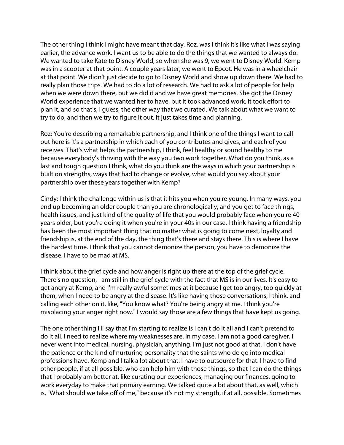The other thing I think I might have meant that day, Roz, was I think it's like what I was saying earlier, the advance work. I want us to be able to do the things that we wanted to always do. We wanted to take Kate to Disney World, so when she was 9, we went to Disney World. Kemp was in a scooter at that point. A couple years later, we went to Epcot. He was in a wheelchair at that point. We didn't just decide to go to Disney World and show up down there. We had to really plan those trips. We had to do a lot of research. We had to ask a lot of people for help when we were down there, but we did it and we have great memories. She got the Disney World experience that we wanted her to have, but it took advanced work. It took effort to plan it, and so that's, I guess, the other way that we curated. We talk about what we want to try to do, and then we try to figure it out. It just takes time and planning.

Roz: You're describing a remarkable partnership, and I think one of the things I want to call out here is it's a partnership in which each of you contributes and gives, and each of you receives. That's what helps the partnership, I think, feel healthy or sound healthy to me because everybody's thriving with the way you two work together. What do you think, as a last and tough question I think, what do you think are the ways in which your partnership is built on strengths, ways that had to change or evolve, what would you say about your partnership over these years together with Kemp?

Cindy: I think the challenge within us is that it hits you when you're young. In many ways, you end up becoming an older couple than you are chronologically, and you get to face things, health issues, and just kind of the quality of life that you would probably face when you're 40 years older, but you're doing it when you're in your 40s in our case. I think having a friendship has been the most important thing that no matter what is going to come next, loyalty and friendship is, at the end of the day, the thing that's there and stays there. This is where I have the hardest time. I think that you cannot demonize the person, you have to demonize the disease. I have to be mad at MS.

I think about the grief cycle and how anger is right up there at the top of the grief cycle. There's no question, I am still in the grief cycle with the fact that MS is in our lives. It's easy to get angry at Kemp, and I'm really awful sometimes at it because I get too angry, too quickly at them, when I need to be angry at the disease. It's like having those conversations, I think, and calling each other on it, like, "You know what? You're being angry at me. I think you're misplacing your anger right now." I would say those are a few things that have kept us going.

The one other thing I'll say that I'm starting to realize is I can't do it all and I can't pretend to do it all. I need to realize where my weaknesses are. In my case, I am not a good caregiver. I never went into medical, nursing, physician, anything. I'm just not good at that. I don't have the patience or the kind of nurturing personality that the saints who do go into medical professions have. Kemp and I talk a lot about that. I have to outsource for that. I have to find other people, if at all possible, who can help him with those things, so that I can do the things that I probably am better at, like curating our experiences, managing our finances, going to work everyday to make that primary earning. We talked quite a bit about that, as well, which is, "What should we take off of me," because it's not my strength, if at all, possible. Sometimes